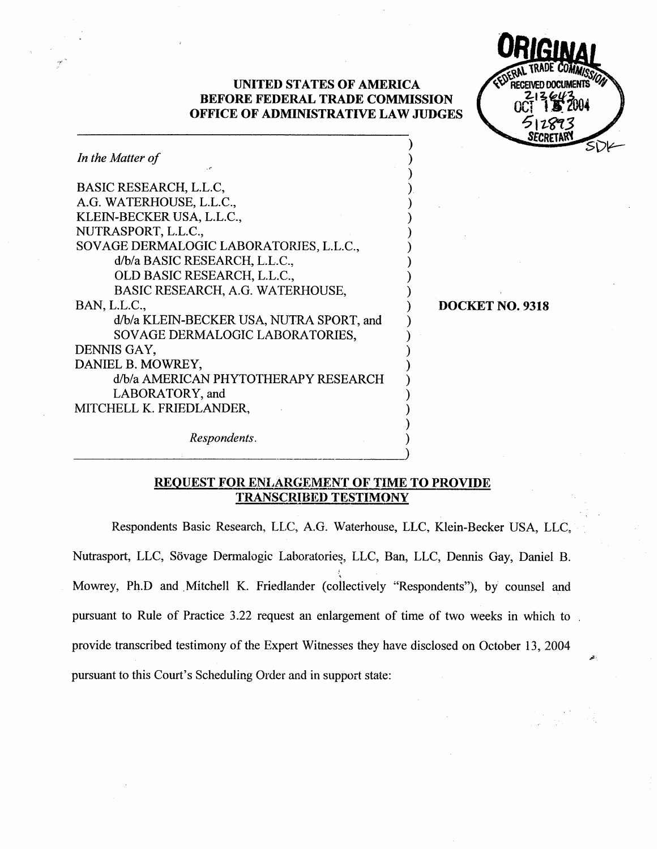### UNITED STATES OF AMERICA BEFORE FEDERAL TRADE COMMISSION OFFICE OF ADMINISTRATIVE LAW JUDGES

Ń



| In the Matter of                         |  |
|------------------------------------------|--|
| BASIC RESEARCH, L.L.C,                   |  |
| A.G. WATERHOUSE, L.L.C.,                 |  |
| KLEIN-BECKER USA, L.L.C.,                |  |
| NUTRASPORT, L.L.C.,                      |  |
| SOVAGE DERMALOGIC LABORATORIES, L.L.C.,  |  |
| d/b/a BASIC RESEARCH, L.L.C.,            |  |
| OLD BASIC RESEARCH, L.L.C.,              |  |
| BASIC RESEARCH, A.G. WATERHOUSE,         |  |
| BAN, L.L.C.,                             |  |
| d/b/a KLEIN-BECKER USA, NUTRA SPORT, and |  |
| SOVAGE DERMALOGIC LABORATORIES,          |  |
| DENNIS GAY,                              |  |
| DANIEL B. MOWREY,                        |  |
| d/b/a AMERICAN PHYTOTHERAPY RESEARCH     |  |
| LABORATORY, and                          |  |
| MITCHELL K. FRIEDLANDER,                 |  |
|                                          |  |

DOCKET NO. 9318

Respondents.

## REQUEST FOR ENLARGEMENT OF TIME TO PROVIDE TRANSCR!BED TESTIMONY

Respondents Basic Research, LLC, A.G. Waterhouse, LLC, Klein-Becker USA, LLC Nutrasport, LLC, Sövage Dermalogic Laboratories, LLC, Ban, LLC, Dennis Gay, Daniel B. Mowrey, Ph.D and Mitchell K. Friedlander (collectively "Respondents"), by counsel and pursuant to Rule of Practice 3.22 request an enlargement of time of two weeks in which to provide transcribed testimony of the Expert Witnesses they have disclosed on October 13 2004 pursuant to this Court's Scheduling Order and in support state: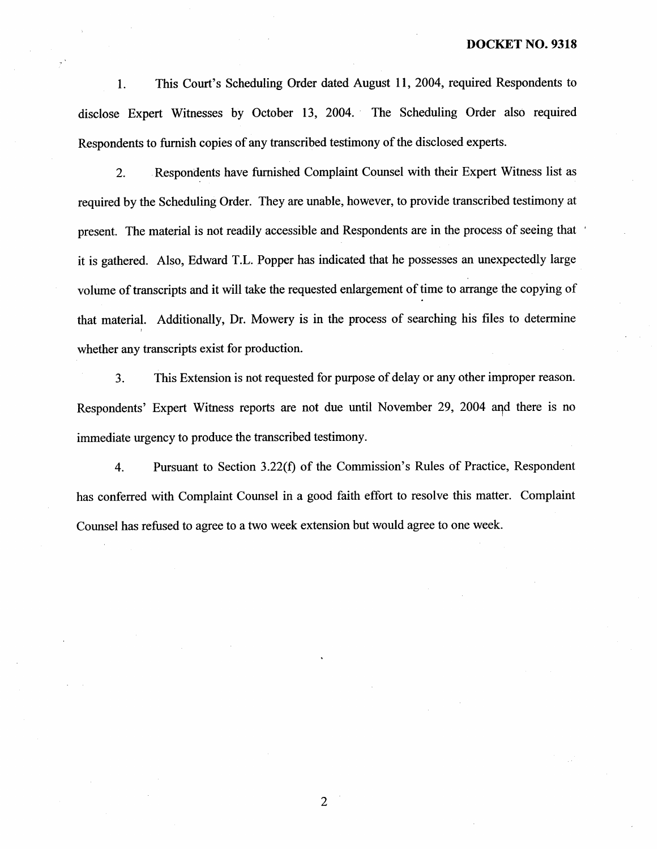This Court's Scheduling Order dated August 11, 2004, required Respondents to  $\mathbf{1}$ . disclose Expert Witnesses by October 13 , 2004. The Scheduling Order also required Respondents to furnish copies of any transcribed testimony of the disclosed experts.

Respondents have furnished Complaint Counsel with their Expert Witness list as  $\overline{2}$ . required by the Seheduling Order. They are unable, however, to provide transcribed testimony at present. The material is not readily accessible and Respondents are in the process of seeing that. it is gathered. Also, Edward T.L. Popper has indicated that he possesses an unexpectedly large volume of transcripts and it will take the requested enlargement of time to arrange the copying of that material. Additionally, Dr. Mowery is in the process of searching his files to detennine whether any transcripts exist for production.

 $3.$ This Extension is not requested for purpose of delay or any other improper reason. Respondents' Expert Witness reports are not due until November 29, 2004 and there is no immediate urgency to produce the transcribed testimony.

Pursuant to Section 3.22(f) of the Commission's Rules of Practice, Respondent  $\overline{4}$ . has conferred with Complaint Counsel in a good faith effort to resolve this matter. Complaint Counsel has refused to agree to a two week extension but would agree to one week.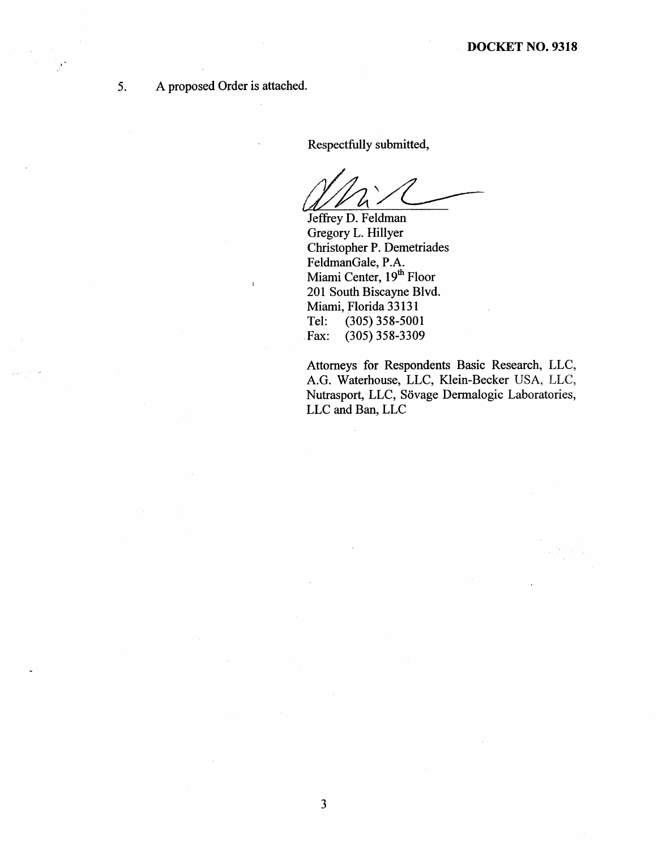A proposed Order is attached. 5.

 $\mathbf{I}$ 

Respectfully submitted

*Mh* '/L<br>Jeffrey D. Feldman

Gregory L. Hillyer Christopher P. Demetriades FeldmanGale, P. Miami Center, 19<sup>th</sup> Floor 201 South Biscayne Blvd. Miami, Florida 33131<br>Tel: (305) 358-500 Tel: (305) 358-5001<br>Fax: (305) 358-3309 (305) 358-3309

Attorneys for Respondents Basic Research, LLC G. Waterhouse, LLC, Klein-Becker USA, LLC Nutrasport, LLC, Sövage Dermalogic Laboratories, LLC and Ban, LLC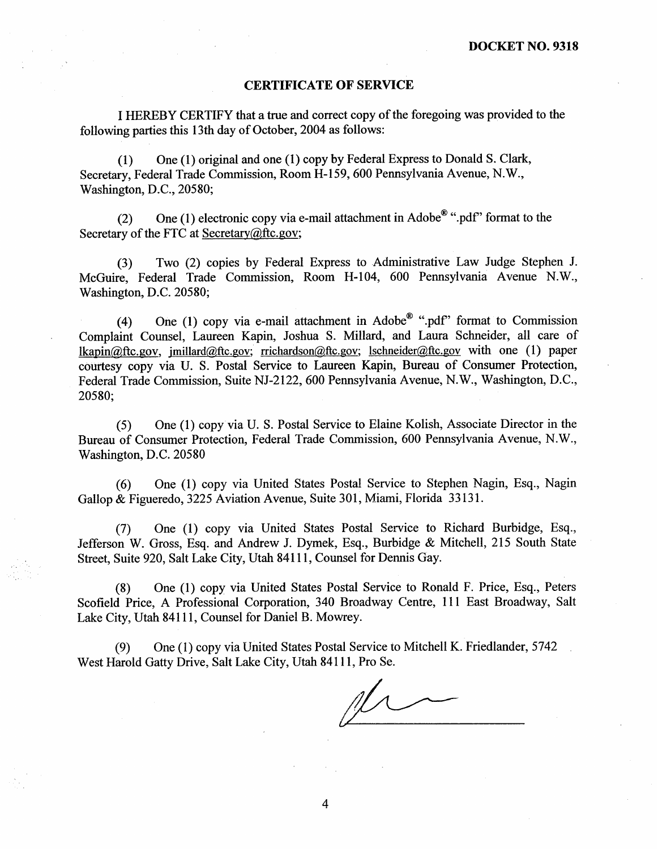#### CERTIFICATE OF SERVICE

I HEREBY CERTIFY that a true and correct copy of the foregoing was provided to the following parties this 13th day of October, 2004 as follows:

(1) One (1) original and one (1) copy by Federal Express to Donald S. Clark Secretary, Federal Trade Commission, Room H-159, 600 Pennsylvania Avenue, N.W., Washington, D.C., 20580;

(2) One (1) electronic copy via e-mail attachment in Adobe<sup>®</sup> ".pdf" format to the Secretary of the FTC at Secretary $@$ ftc.gov;

(3) Two (2) copies by Federal Express to Administrative Law Judge Stephen J. McGuire, Federal Trade Commission, Room H-104, 600 Pennsylvania Avenue N.W., Washington, D.C. 20580;

(4) One (1) copy via e-mail attachment in Adobe<sup>®</sup> ".pdf" format to Commission Complaint Counsel, Laureen Kapin, Joshua S. Millard, and Laura Schneider, all care of  $\text{lkabin@ftc.gov}, \text{ millard@ftc.gov}; \text{richardson@ftc.gov}; \text{lschneider@ftc.gov with one (1) paper}$ courtesy copy via U. S. Postal Service to Laureen Kapin, Bureau of Consumer Protection Federal Trade Commission, Suite NJ-2122, 600 Pennsylvania Avenue, N.W., Washington, D.C., 20580;

(5) One (1) copy via U. S. Postal Serviee to Elaine Kolish, Associate Director in the Bureau of Consumer Protection, Federal Trade Commission, 600 Pennsylvania Avenue, N. Washington, D.C. 20580

(6) One (1) copy via United States Postal Service to Stephen Nagin, Esq. , Nagin Gallop & Figueredo, 3225 Aviation Avenue, Suite 301, Miami, Florida 33131.

(7) One (1) copy via United States Postal Service to Richard Burbidge, Esq. Jefferson W. Gross, Esq. and Andrew J. Dymek, Esq., Burbidge & Mitchell, 215 South State Street, Suite 920, Salt Lake City, Utah 84111 , Counsel for Dennis Gay.

(8) One (1) eopy via United States Postal Service to Ronald F. Price, Esq. , Peters Scofield Price, A Professional Corporation, 340 Broadway Centre, 111 East Broadway, Salt Lake City, Utah 84111 , Counsel for Daniel B. Mowrey.

(9) One (1) copy via United States Postal Service to Mitchell K. Friedlander, 5742 West Harold Gatty Drive, Salt Lake City, Utah 84111 , Pro Sc.

 $\overline{4}$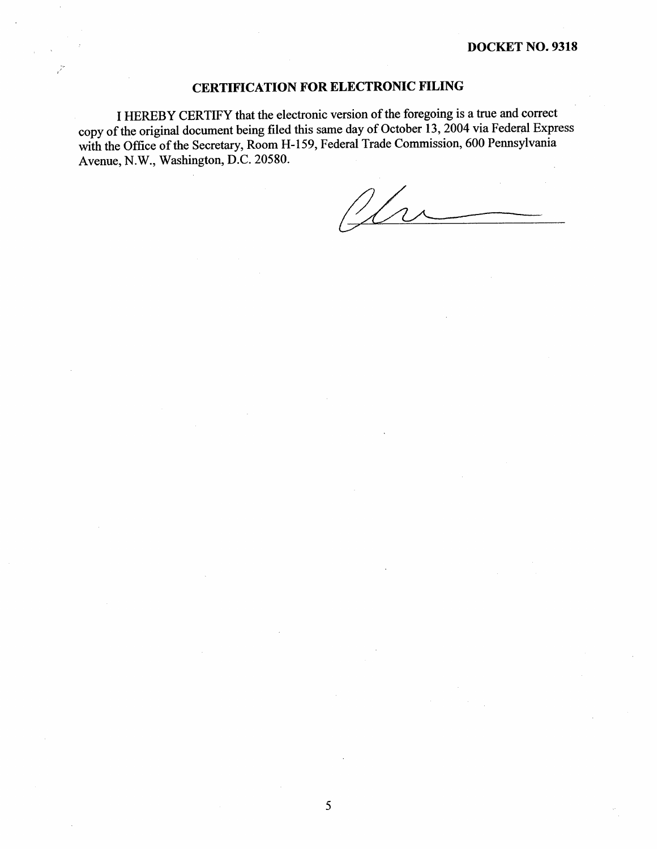## CERTIFICATION FOR ELECTRONIC FILING

 $\mathcal{I}$ 

I HEREBY CERTIFY that the electronie version of the foregoing is a true and correct copy of the original document being filed this same day of October 13, 2004 via Federal Express with the Office of the Secretary, Room H-159, Federal Trade Commission, 600 Pennsylvania Avenue, N.W., Washington, D.C. 20580.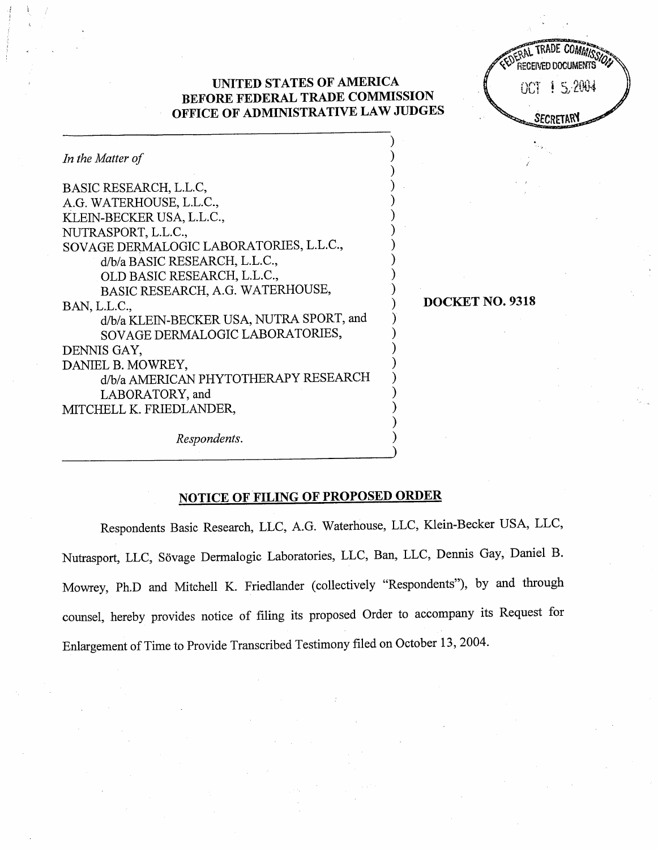## : Y'i' I '" ' )f)J1 j UNITED STATES OF AMERICA Uu; -..1 L "V-" BEFORE FEDERAL TRADE COMMISSION OFFICE OF ADMINISTRATIVE LAW JUDGES

RAL TRAUE COMMISSION  $\checkmark$ y", received docume **SECRETARY** 

| In the Matter of                         |
|------------------------------------------|
| BASIC RESEARCH, L.L.C,                   |
| A.G. WATERHOUSE, L.L.C.,                 |
| KLEIN-BECKER USA, L.L.C.,                |
| NUTRASPORT, L.L.C.,                      |
| SOVAGE DERMALOGIC LABORATORIES, L.L.C.,  |
| d/b/a BASIC RESEARCH, L.L.C.,            |
| OLD BASIC RESEARCH, L.L.C.,              |
| BASIC RESEARCH, A.G. WATERHOUSE,         |
| BAN, L.L.C.,                             |
| d/b/a KLEIN-BECKER USA, NUTRA SPORT, and |
| SOVAGE DERMALOGIC LABORATORIES,          |
| DENNIS GAY,                              |
| DANIEL B. MOWREY,                        |
| d/b/a AMERICAN PHYTOTHERAPY RESEARCH     |
| LABORATORY, and                          |
| MITCHELL K. FRIEDLANDER,                 |
|                                          |

DOCKET NO. 9318

Respondents.

# NOTICE OF FILING OF PROPOSED ORDER

Respondents Basic Research, LLC, A.G. Waterhouse, LLC, Klein-Becker USA, LLC, Nutrasport, LLC, Sövage Dermalogic Laboratories, LLC, Ban, LLC, Dennis Gay, Daniel B. Mowrey, Ph.D and Mitchell K. Friedlander (collectively "Respondents"), by and through counsel, hereby provides notice of filing its proposed Order to accompany its Request for Enlargement of Time to Provide Transcribed Testimony filed on October 13 , 2004.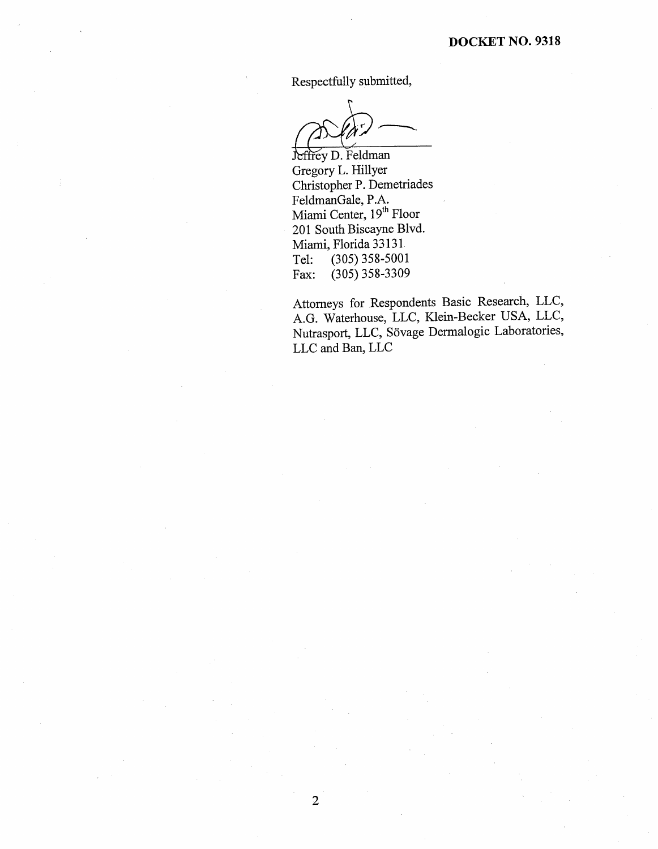Respectfully submitted

Jeffrey D. Feldman Gregory L. Hillyer Christopher P. Demetriades FeldmanGale, P. Miami Center, 19<sup>th</sup> Floor 201 South Biscayne Blvd. Miami, Florida 33131<br>Tel: (305) 358-5001 Tel: (305) 358-5001<br>Fax: (305) 358-3309  $(305)$  358-3309

Attorneys for Respondents Basic Research, LLC AG. Waterhouse, LLC, Klein-Becker USA, LLC Nutrasport, LLC, Sövage Dermalogic Laboratories, LLC and Ban, LLC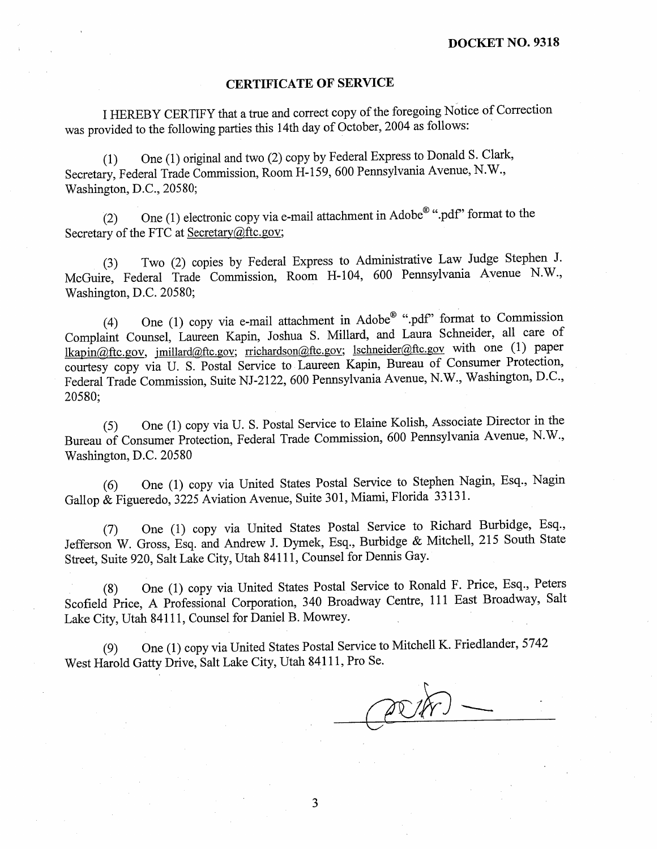#### CERTIFICATE OF SERVICE

I HEREBY CERTIFY that a true and correct copy of the foregoing Notice of Correction was provided to the following parties this 14th day of October, 2004 as follows:

(1) One (1) original and two (2) copy by Federal Express to Donald S. Clark Secretary, Federal Trade Commission, Room H-159, 600 Pennsylvania Avenue, N.W., Washington, D.C., 20580;

(2) One (1) electronic copy via e-mail attachment in Adobe<sup>®</sup> ".pdf" format to the Secretary of the FTC at Secretary $@$ ftc.gov;

(3) Two (2) copies by Federal Express to Administrative Law Judge Stcphen J. McGuire, Federal Trade Commission, Room H-104, 600 Pennsylvania Avenue N.W., Washington, D.C. 20580;

(4) One (1) copy via e-mail attachment in Adobe® ".pdf" format to Commission Complaint Counsel, Laureen Kapin, Joshua S. Millard, and Laura Schneider, all care of lkapin@ftc.gov, jmillard@ftc.gov; rrichardson@ftc.gov; lschneider@ftc.gov with one (1) paper courtesy copy via U. S. Postal Service to Laureen Kapin, Bureau of Consumer Protection Federal Trade Commission, Suite NJ-2122, 600 Pennsylvania Avenue, N.W., Washington, D.C., 20580;

(5) One (1) copy via U. S. Postal Service to Elaine Kolish, Associate Director in the Bureau of Consumer Protection, Federal Trade Commission, 600 Pennsylvania Avenue, N. Washington, D.C. 20580

(6) One (1) copy via United States Postal Service to Stephen Nagin, Esq. , Nagin Gallop & Figueredo, 3225 Aviation Avenue, Suite 301 , Miami, Florida 33131.

(7) One (1) copy via United States Postal Service to Richard Burbidge, Esq. Jefferson W. Gross, Esq. and Andrcw 1. Dymek, Esq., Burbidge & Mitchell, 215 South State Street, Suite 920, Salt Lake City, Utah 84111 , Counsel for Dennis Gay.

(8) One (1) copy via United States Postal Service to Ronald F. Price, Esq. , Peters Scofield Price, A Professional Corporation, 340 Broadway Centre, 111 East Broadway, Salt Lake City, Utah 84111, Counsel for Daniel B. Mowrey.

(9) One (1) copy via United States Postal Service to Mitchell K. Friedlander, 5742 West Harold Gatty Drive, Salt Lake City, Utah 84111 , Pro Se.

(PDK)

3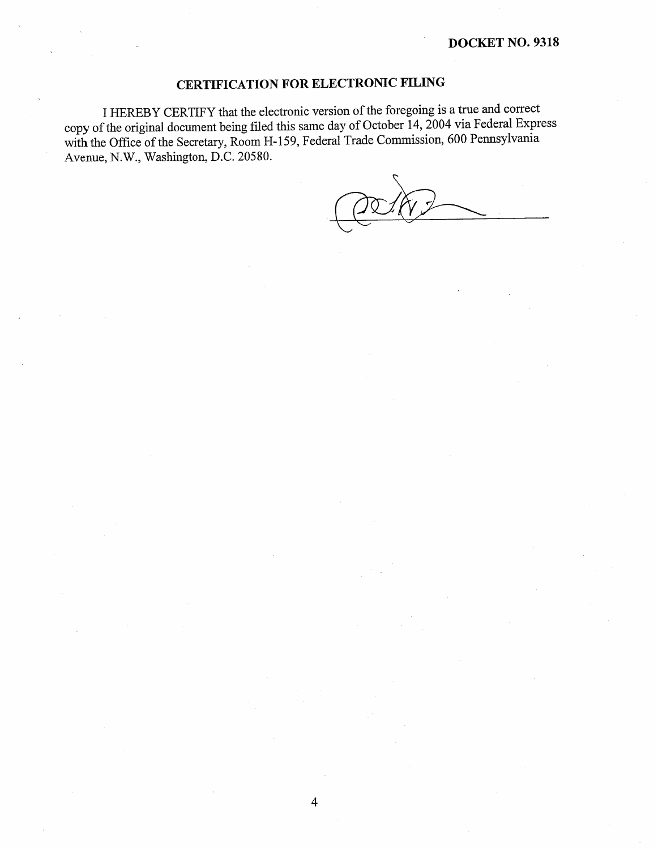# CERTIFICATION FOR ELECTRONIC FILING

I HEREBY CERTIFY that the electronic version of the foregoing is a true and correct copy of the original document being fied this same day of October 14, 2004 via Federal Express with the Office of the Secretary, Room H-159, Federal Trade Commission, 600 Pennsylvania Avenue, N.W., Washington, D.C. 20580.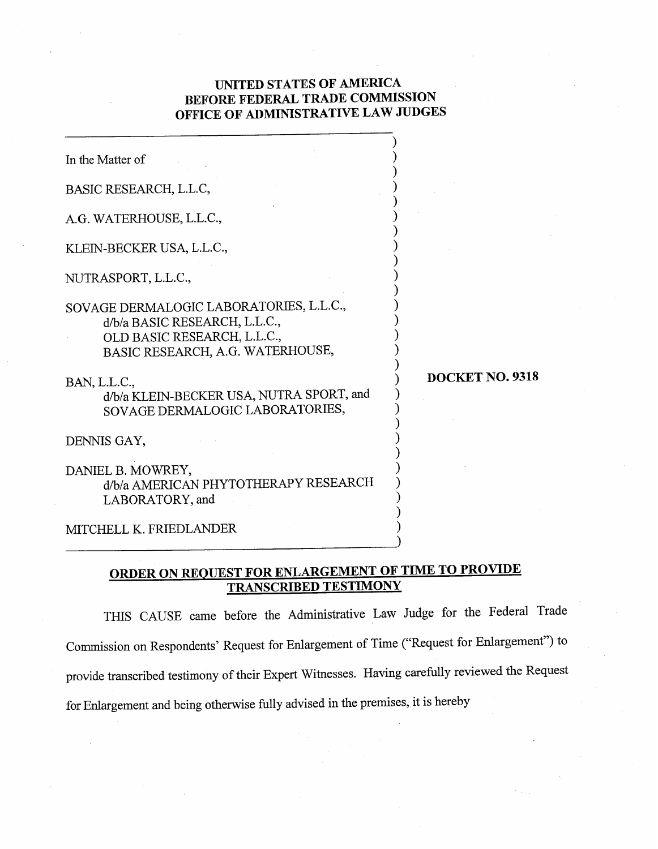## UNITED STATES OF AMERICA BEFORE FEDERAL TRADE COMMISSION OFFICE OF ADMINISTRATIVE LAW JUDGES

| In the Matter of                                                                                                                            |                 |
|---------------------------------------------------------------------------------------------------------------------------------------------|-----------------|
| BASIC RESEARCH, L.L.C,                                                                                                                      |                 |
| A.G. WATERHOUSE, L.L.C.,                                                                                                                    |                 |
| KLEIN-BECKER USA, L.L.C.,                                                                                                                   |                 |
| NUTRASPORT, L.L.C.,                                                                                                                         |                 |
| SOVAGE DERMALOGIC LABORATORIES, L.L.C.,<br>d/b/a BASIC RESEARCH, L.L.C.,<br>OLD BASIC RESEARCH, L.L.C.,<br>BASIC RESEARCH, A.G. WATERHOUSE, |                 |
| BAN, L.L.C.,<br>d/b/a KLEIN-BECKER USA, NUTRA SPORT, and<br>SOVAGE DERMALOGIC LABORATORIES,                                                 | DOCKET NO. 9318 |
| DENNIS GAY,                                                                                                                                 |                 |
| DANIEL B. MOWREY,<br>d/b/a AMERICAN PHYTOTHERAPY RESEARCH<br>LABORATORY, and                                                                |                 |
| MITCHELL K. FRIEDLANDER                                                                                                                     |                 |

## ORDER ON REQUEST FOR ENLARGEMENT OF TlME TO PROVIDE TRANSCRIBED TESTIMONY

THIS CAUSE came before the Administrative Law Judge for the Federal Trade Commission on Respondents' Request for Enlargement of Time ("Request for Enlargement") to provide transcribed testimony of their Expert Witnesses. Having carefully reviewed the Request for Enlargement and being otherwise fully advised in the premises, it is hereby